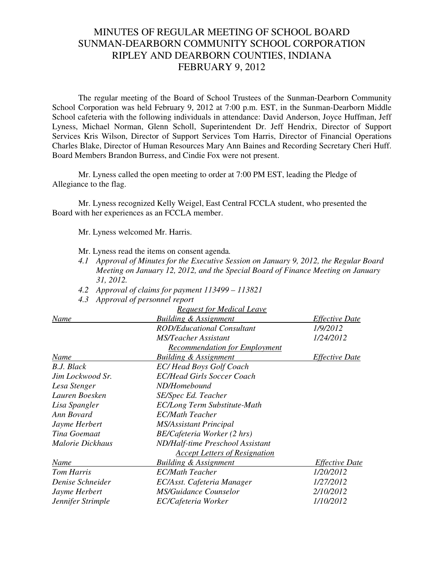## MINUTES OF REGULAR MEETING OF SCHOOL BOARD SUNMAN-DEARBORN COMMUNITY SCHOOL CORPORATION RIPLEY AND DEARBORN COUNTIES, INDIANA FEBRUARY 9, 2012

The regular meeting of the Board of School Trustees of the Sunman-Dearborn Community School Corporation was held February 9, 2012 at 7:00 p.m. EST, in the Sunman-Dearborn Middle School cafeteria with the following individuals in attendance: David Anderson, Joyce Huffman, Jeff Lyness, Michael Norman, Glenn Scholl, Superintendent Dr. Jeff Hendrix, Director of Support Services Kris Wilson, Director of Support Services Tom Harris, Director of Financial Operations Charles Blake, Director of Human Resources Mary Ann Baines and Recording Secretary Cheri Huff. Board Members Brandon Burress, and Cindie Fox were not present.

Mr. Lyness called the open meeting to order at 7:00 PM EST, leading the Pledge of Allegiance to the flag.

Mr. Lyness recognized Kelly Weigel, East Central FCCLA student, who presented the Board with her experiences as an FCCLA member.

Mr. Lyness welcomed Mr. Harris.

Mr. Lyness read the items on consent agenda*.*

- *4.1 Approval of Minutes for the Executive Session on January 9, 2012, the Regular Board Meeting on January 12, 2012, and the Special Board of Finance Meeting on January 31, 2012.*
- *4.2 Approval of claims for payment 113499 113821*
- *4.3 Approval of personnel report*

|                   | <b>Request for Medical Leave</b>     |                       |
|-------------------|--------------------------------------|-----------------------|
| Name              | <b>Building &amp; Assignment</b>     | <b>Effective Date</b> |
|                   | ROD/Educational Consultant           | 1/9/2012              |
|                   | <b>MS/Teacher Assistant</b>          | 1/24/2012             |
|                   | <b>Recommendation for Employment</b> |                       |
| Name              | <b>Building &amp; Assignment</b>     | <i>Effective Date</i> |
| B.J. Black        | <b>EC/Head Boys Golf Coach</b>       |                       |
| Jim Lockwood Sr.  | <b>EC/Head Girls Soccer Coach</b>    |                       |
| Lesa Stenger      | ND/Homebound                         |                       |
| Lauren Boesken    | SE/Spec Ed. Teacher                  |                       |
| Lisa Spangler     | EC/Long Term Substitute-Math         |                       |
| Ann Bovard        | <b>EC/Math Teacher</b>               |                       |
| Jayme Herbert     | <b>MS/Assistant Principal</b>        |                       |
| Tina Goemaat      | BE/Cafeteria Worker (2 hrs)          |                       |
| Malorie Dickhaus  | ND/Half-time Preschool Assistant     |                       |
|                   | <b>Accept Letters of Resignation</b> |                       |
| Name              | <b>Building &amp; Assignment</b>     | <i>Effective Date</i> |
| Tom Harris        | <b>EC/Math Teacher</b>               | 1/20/2012             |
| Denise Schneider  | EC/Asst. Cafeteria Manager           | 1/27/2012             |
| Jayme Herbert     | <b>MS/Guidance Counselor</b>         | 2/10/2012             |
| Jennifer Strimple | EC/Cafeteria Worker                  | 1/10/2012             |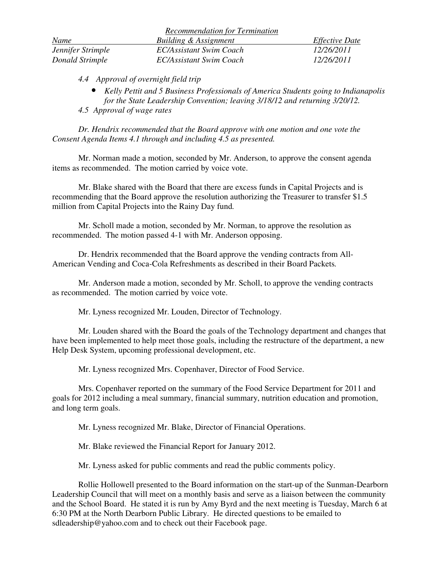|                   | <b>Recommendation for Termination</b> |                       |
|-------------------|---------------------------------------|-----------------------|
| Name              | Building & Assignment                 | <i>Effective Date</i> |
| Jennifer Strimple | EC/Assistant Swim Coach               | 12/26/2011            |
| Donald Strimple   | EC/Assistant Swim Coach               | 12/26/2011            |

*4.4 Approval of overnight field trip* 

- *Kelly Pettit and 5 Business Professionals of America Students going to Indianapolis for the State Leadership Convention; leaving 3/18/12 and returning 3/20/12.*
- *4.5 Approval of wage rates*

*Dr. Hendrix recommended that the Board approve with one motion and one vote the Consent Agenda Items 4.1 through and including 4.5 as presented.* 

Mr. Norman made a motion, seconded by Mr. Anderson, to approve the consent agenda items as recommended. The motion carried by voice vote.

Mr. Blake shared with the Board that there are excess funds in Capital Projects and is recommending that the Board approve the resolution authorizing the Treasurer to transfer \$1.5 million from Capital Projects into the Rainy Day fund*.*

 Mr. Scholl made a motion, seconded by Mr. Norman, to approve the resolution as recommended. The motion passed 4-1 with Mr. Anderson opposing.

Dr. Hendrix recommended that the Board approve the vending contracts from All-American Vending and Coca-Cola Refreshments as described in their Board Packets*.* 

 Mr. Anderson made a motion, seconded by Mr. Scholl, to approve the vending contracts as recommended. The motion carried by voice vote.

Mr. Lyness recognized Mr. Louden, Director of Technology.

Mr. Louden shared with the Board the goals of the Technology department and changes that have been implemented to help meet those goals, including the restructure of the department, a new Help Desk System, upcoming professional development, etc.

Mr. Lyness recognized Mrs. Copenhaver, Director of Food Service.

 Mrs. Copenhaver reported on the summary of the Food Service Department for 2011 and goals for 2012 including a meal summary, financial summary, nutrition education and promotion, and long term goals.

Mr. Lyness recognized Mr. Blake, Director of Financial Operations.

Mr. Blake reviewed the Financial Report for January 2012.

Mr. Lyness asked for public comments and read the public comments policy.

 Rollie Hollowell presented to the Board information on the start-up of the Sunman-Dearborn Leadership Council that will meet on a monthly basis and serve as a liaison between the community and the School Board. He stated it is run by Amy Byrd and the next meeting is Tuesday, March 6 at 6:30 PM at the North Dearborn Public Library. He directed questions to be emailed to sdleadership@yahoo.com and to check out their Facebook page.